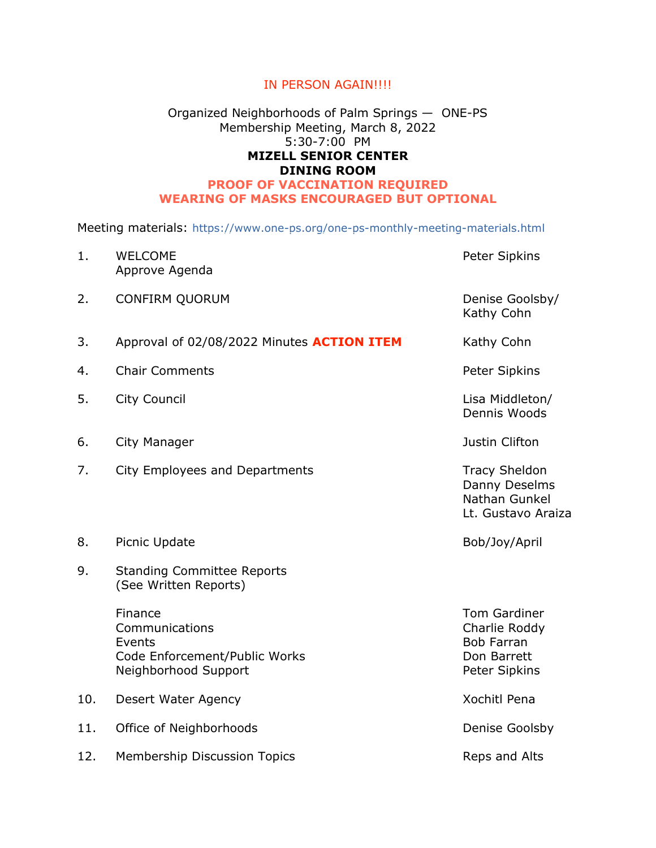## IN PERSON AGAIN!!!!

## Organized Neighborhoods of Palm Springs — ONE-PS Membership Meeting, March 8, 2022 5:30-7:00 PM **MIZELL SENIOR CENTER DINING ROOM PROOF OF VACCINATION REQUIRED WEARING OF MASKS ENCOURAGED BUT OPTIONAL**

Meeting materials: https://www.one-ps.org/one-ps-monthly-meeting-materials.html

| 1.  | <b>WELCOME</b><br>Approve Agenda                                                             | Peter Sipkins                                                                             |
|-----|----------------------------------------------------------------------------------------------|-------------------------------------------------------------------------------------------|
| 2.  | <b>CONFIRM QUORUM</b>                                                                        | Denise Goolsby/<br>Kathy Cohn                                                             |
| 3.  | Approval of 02/08/2022 Minutes ACTION ITEM                                                   | Kathy Cohn                                                                                |
| 4.  | <b>Chair Comments</b>                                                                        | Peter Sipkins                                                                             |
| 5.  | <b>City Council</b>                                                                          | Lisa Middleton/<br>Dennis Woods                                                           |
| 6.  | City Manager                                                                                 | Justin Clifton                                                                            |
| 7.  | City Employees and Departments                                                               | <b>Tracy Sheldon</b><br>Danny Deselms<br>Nathan Gunkel<br>Lt. Gustavo Araiza              |
| 8.  | Picnic Update                                                                                | Bob/Joy/April                                                                             |
| 9.  | <b>Standing Committee Reports</b><br>(See Written Reports)                                   |                                                                                           |
|     | Finance<br>Communications<br>Events<br>Code Enforcement/Public Works<br>Neighborhood Support | <b>Tom Gardiner</b><br>Charlie Roddy<br><b>Bob Farran</b><br>Don Barrett<br>Peter Sipkins |
| 10. | Desert Water Agency                                                                          | Xochitl Pena                                                                              |
| 11. | Office of Neighborhoods                                                                      | Denise Goolsby                                                                            |
| 12. | Membership Discussion Topics                                                                 | Reps and Alts                                                                             |
|     |                                                                                              |                                                                                           |